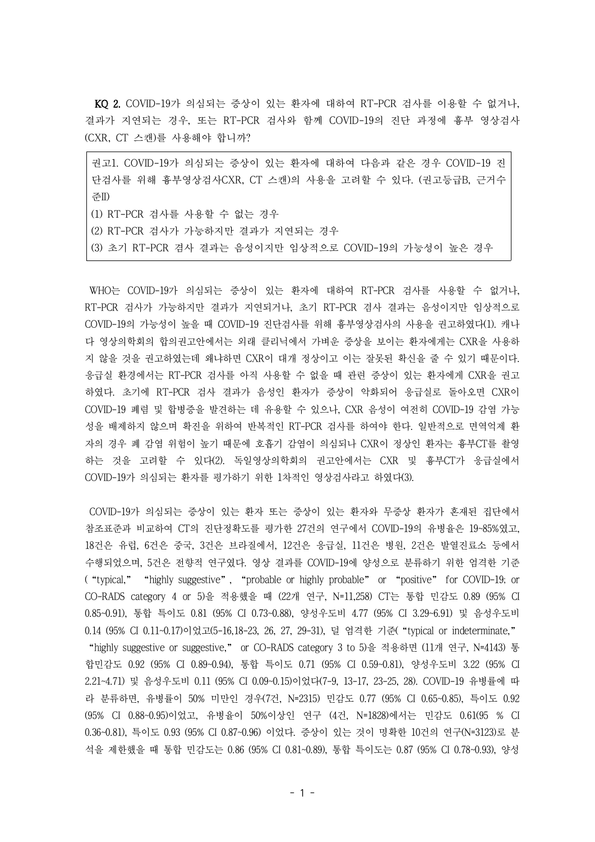KQ 2. COVID-19가 의심되는 증상이 있는 환자에 대하여 RT-PCR 검사를 이용할 수 없거나, 결과가 지연되는 경우, 또는 RT-PCR 검사와 함께 COVID-19의 진단 과정에 흉부 영상검사 (CXR, CT 스캔)를 사용해야 합니까?

권고1. COVID-19가 의심되는 증상이 있는 환자에 대하여 다음과 같은 경우 COVID-19 진 단검사를 위해 흉부영상검사CXR, CT 스캔)의 사용을 고려할 수 있다. (권고등급B, 근거수 준II) (1) RT-PCR 검사를 사용할 수 없는 경우

(2) RT-PCR 검사가 가능하지만 결과가 지연되는 경우

(3) 초기 RT-PCR 겸사 결과는 음성이지만 임상적으로 COVID-19의 가능성이 높은 경우

WHO는 COVID-19가 의심되는 증상이 있는 환자에 대하여 RT-PCR 검사를 사용할 수 없거나, RT-PCR 검사가 가능하지만 결과가 지연되거나, 초기 RT-PCR 겸사 결과는 음성이지만 임상적으로 COVID-19의 가능성이 높을 때 COVID-19 진단검사를 위해 흉부영상검사의 사용을 권고하였다(1). 캐나 다 영상의학회의 합의권고안에서는 외래 클리닉에서 가벼운 증상을 보이는 환자에게는 CXR을 사용하 지 않을 것을 권고하였는데 왜냐하면 CXR이 대개 정상이고 이는 잘못된 확신을 줄 수 있기 때문이다. 응급실 환경에서는 RT-PCR 검사를 아직 사용할 수 없을 때 관련 증상이 있는 환자에게 CXR을 권고 하였다. 초기에 RT-PCR 검사 결과가 음성인 환자가 증상이 악화되어 응급실로 돌아오면 CXR이 COVID-19 폐렴 및 합병증을 발견하는 데 유용할 수 있으나, CXR 음성이 여전히 COVID-19 감염 가능 성을 배제하지 않으며 확진을 위하여 반복적인 RT-PCR 검사를 하여야 한다. 일반적으로 면역억제 환 자의 경우 폐 감염 위험이 높기 때문에 호흡기 감염이 의심되나 CXR이 정상인 환자는 흉부CT를 촬영 하는 것을 고려할 수 있다(2). 독일영상의학회의 권고안에서는 CXR 및 흉부CT가 응급실에서 COVID-19가 의심되는 환자를 평가하기 위한 1차적인 영상검사라고 하였다(3).

COVID-19가 의심되는 증상이 있는 환자 또는 증상이 있는 환자와 무증상 환자가 혼재된 집단에서 참조표준과 비교하여 CT의 진단정확도를 평가한 27건의 연구에서 COVID-19의 유병율은 19~85%였고, 18건은 유럽, 6건은 중국, 3건은 브라질에서, 12건은 응급실, 11건은 병원, 2건은 발열진료소 등에서 수행되었으며, 5건은 전향적 연구였다. 영상 결과를 COVID-19에 양성으로 분류하기 위한 엄격한 기준 ("typical," "highly suggestive", "probable or highly probable" or "positive" for COVID-19; or CO-RADS category 4 or 5)을 적용했을 때 (22개 연구, N=11,258) CT는 통합 민감도 0.89 (95% CI 0.85~0.91), 통합 특이도 0.81 (95% CI 0.73~0.88), 양성우도비 4.77 (95% CI 3.29~6.91) 및 음성우도비 0.14 (95% CI 0.11~0.17)이었고(5-16,18-23, 26, 27, 29-31), 덜 엄격한 기준("typical or indeterminate," "highly suggestive or suggestive," or CO-RADS category 3 to 5)을 적용하면 (11개 연구, N=4143) 통 합민감도 0.92 (95% CI 0.89~0.94), 통합 특이도 0.71 (95% CI 0.59~0.81), 양성우도비 3.22 (95% CI 2.21~4.71) 및 음성우도비 0.11 (95% CI 0.09~0.15)이었다(7-9, 13-17, 23-25, 28). COVID-19 유병률에 따 라 분류하면, 유병률이 50% 미만인 경우(7건, N=2315) 민감도 0.77 (95% CI 0.65~0.85), 특이도 0.92 (95% CI 0.88~0.95)이었고, 유병율이 50%이상인 연구 (4건, N=1828)에서는 민감도 0.61(95 % CI 0.36~0.81), 특이도 0.93 (95% CI 0.87~0.96) 이었다. 증상이 있는 것이 명확한 10건의 연구(N=3123)로 분 석을 제한했을 때 통합 민감도는 0.86 (95% CI 0.81~0.89), 통합 특이도는 0.87 (95% CI 0.78~0.93), 양성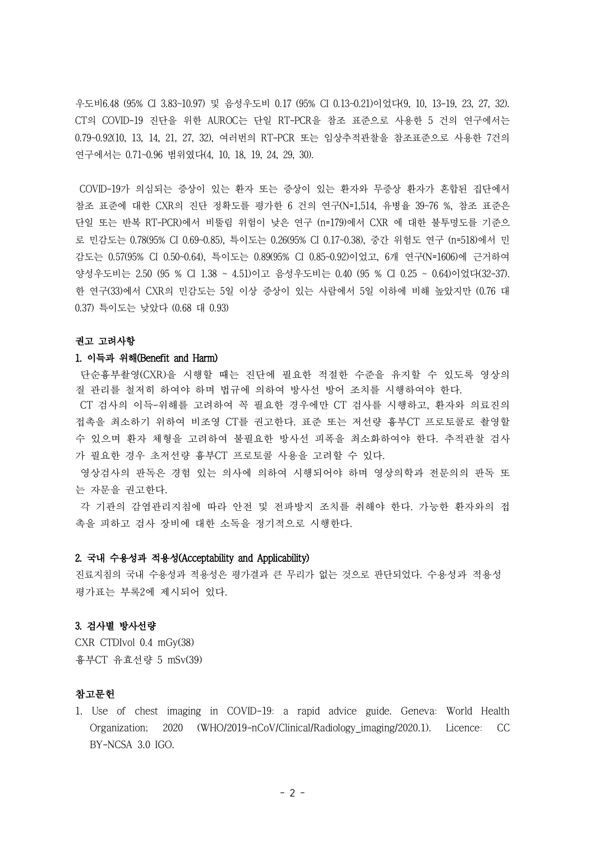우도비6.48 (95% CI 3.83~10.97) 및 음성우도비 0.17 (95% CI 0.13~0.21)이었다(9, 10, 13-19, 23, 27, 32). CT의 COVID-19 진단을 위한 AUROC는 단일 RT-PCR을 참조 표준으로 사용한 5 건의 연구에서는 0.79~0.92(10, 13, 14, 21, 27, 32), 여러번의 RT-PCR 또는 임상추적관찰을 참조표준으로 사용한 7건의 연구에서는 0.71~0.96 범위였다(4, 10, 18, 19, 24, 29, 30).

COVID-19가 의심되는 증상이 있는 환자 또는 증상이 있는 환자와 무증상 환자가 혼합된 집단에서 참조 표준에 대한 CXR의 진단 정확도를 평가한 6 건의 연구(N=1,514, 유병율 39~76 %, 참조 표준은 단일 또는 반복 RT-PCR)에서 비뚤림 위험이 낮은 연구 (n=179)에서 CXR 에 대한 불투명도를 기준으 로 민감도는 0.78(95% CI 0.69~0.85), 특이도는 0.26(95% CI 0.17~0.38), 중간 위험도 연구 (n=518)에서 민 감도는 0.57(95% CI 0.50~0.64), 특이도는 0.89(95% CI 0.85~0.92)이었고, 6개 연구(N=1606)에 근거하여 양성우도비는 2.50 (95 % CI 1.38 ~ 4.51)이고 음성우도비는 0.40 (95 % CI 0.25 ~ 0.64)이었다(32-37). 한 연구(33)에서 CXR의 민감도는 5일 이상 증상이 있는 사람에서 5일 이하에 비해 높았지만 (0.76 대 0.37) 특이도는 낮았다 (0.68 대 0.93)

### 권고 고려사항

### 1. 이득과 위해(Benefit and Harm)

단순흉부촬영(CXR)을 시행할 때는 진단에 필요한 적절한 수준을 유지할 수 있도록 영상의 질 관리를 철저히 하여야 하며 법규에 의하여 방사선 방어 조치를 시행하여야 한다. CT 검사의 이득-위해를 고려하여 꼭 필요한 경우에만 CT 검사를 시행하고, 환자와 의료진의 접촉을 최소하기 위하여 비조영 CT를 권고한다. 표준 또는 저선량 흉부CT 프로토콜로 촬영할 수 있으며 환자 체형을 고려하여 불필요한 방사선 피폭을 최소화하여야 한다. 추적관찰 검사 가 필요한 경우 초저선량 흉부CT 프로토콜 사용을 고려할 수 있다.

영상검사의 판독은 경험 있는 의사에 의하여 시행되어야 하며 영상의학과 전문의의 판독 또 는 자문을 권고한다.

각 기관의 감염관리지침에 따라 안전 및 전파방지 조치를 취해야 한다. 가능한 환자와의 접 촉을 피하고 검사 장비에 대한 소독을 정기적으로 시행한다.

## 2. 국내 수용성과 적용성(Acceptability and Applicability)

진료지침의 국내 수용성과 적용성은 평가결과 큰 무리가 없는 것으로 판단되었다. 수용성과 적용성 평가표는 부록2에 제시되어 있다.

### 3. 검사별 방사선량

CXR CTDIvol 0.4 mGy(38) 흉부CT 유효선량 5 mSv(39)

# 참고문헌

1. Use of chest imaging in COVID-19: a rapid advice guide. Geneva: World Health Organization; 2020 (WHO/2019-nCoV/Clinical/Radiology\_imaging/2020.1). Licence: CC BY-NCSA 3.0 IGO.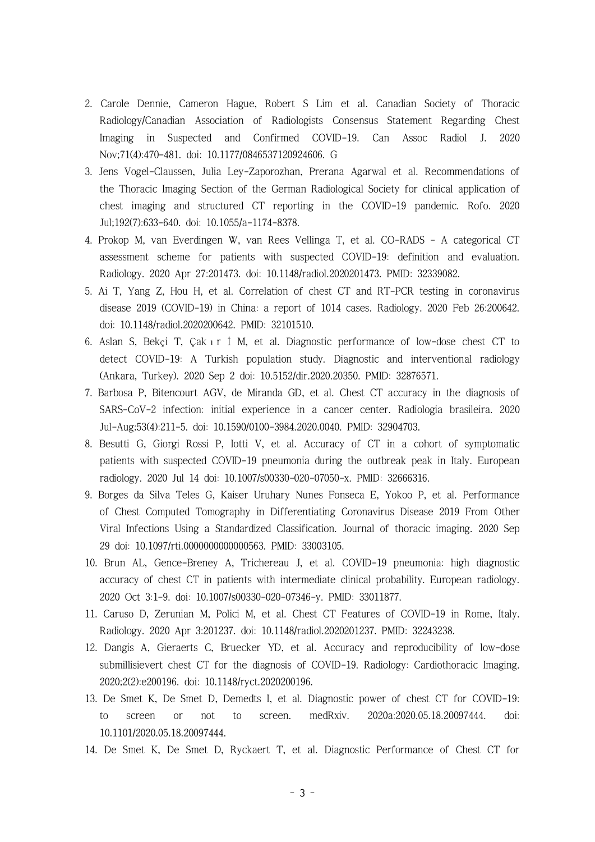- 2. Carole Dennie, Cameron Hague, Robert S Lim et al. Canadian Society of Thoracic Radiology/Canadian Association of Radiologists Consensus Statement Regarding Chest Imaging in Suspected and Confirmed COVID-19. Can Assoc Radiol J. 2020 Nov;71(4):470-481. doi: 10.1177/0846537120924606. G
- 3. Jens Vogel-Claussen, Julia Ley-Zaporozhan, Prerana Agarwal et al. Recommendations of the Thoracic Imaging Section of the German Radiological Society for clinical application of chest imaging and structured CT reporting in the COVID-19 pandemic. Rofo. 2020 Jul;192(7):633-640. doi: 10.1055/a-1174-8378.
- 4. Prokop M, van Everdingen W, van Rees Vellinga T, et al. CO-RADS A categorical CT assessment scheme for patients with suspected COVID-19: definition and evaluation. Radiology. 2020 Apr 27:201473. doi: 10.1148/radiol.2020201473. PMID: 32339082.
- 5. Ai T, Yang Z, Hou H, et al. Correlation of chest CT and RT-PCR testing in coronavirus disease 2019 (COVID-19) in China: a report of 1014 cases. Radiology. 2020 Feb 26:200642. doi: 10.1148/radiol.2020200642. PMID: 32101510.
- 6. Aslan S, Bekçi T, Çakır İ M, et al. Diagnostic performance of low-dose chest CT to detect COVID-19: A Turkish population study. Diagnostic and interventional radiology (Ankara, Turkey). 2020 Sep 2 doi: 10.5152/dir.2020.20350. PMID: 32876571.
- 7. Barbosa P, Bitencourt AGV, de Miranda GD, et al. Chest CT accuracy in the diagnosis of SARS-CoV-2 infection: initial experience in a cancer center. Radiologia brasileira. 2020 Jul-Aug;53(4):211-5. doi: 10.1590/0100-3984.2020.0040. PMID: 32904703.
- 8. Besutti G, Giorgi Rossi P, Iotti V, et al. Accuracy of CT in a cohort of symptomatic patients with suspected COVID-19 pneumonia during the outbreak peak in Italy. European radiology. 2020 Jul 14 doi: 10.1007/s00330-020-07050-x. PMID: 32666316.
- 9. Borges da Silva Teles G, Kaiser Uruhary Nunes Fonseca E, Yokoo P, et al. Performance of Chest Computed Tomography in Differentiating Coronavirus Disease 2019 From Other Viral Infections Using a Standardized Classification. Journal of thoracic imaging. 2020 Sep 29 doi: 10.1097/rti.0000000000000563. PMID: 33003105.
- 10. Brun AL, Gence-Breney A, Trichereau J, et al. COVID-19 pneumonia: high diagnostic accuracy of chest CT in patients with intermediate clinical probability. European radiology. 2020 Oct 3:1-9. doi: 10.1007/s00330-020-07346-y. PMID: 33011877.
- 11. Caruso D, Zerunian M, Polici M, et al. Chest CT Features of COVID-19 in Rome, Italy. Radiology. 2020 Apr 3:201237. doi: 10.1148/radiol.2020201237. PMID: 32243238.
- 12. Dangis A, Gieraerts C, Bruecker YD, et al. Accuracy and reproducibility of low-dose submillisievert chest CT for the diagnosis of COVID-19. Radiology: Cardiothoracic Imaging. 2020;2(2):e200196. doi: 10.1148/ryct.2020200196.
- 13. De Smet K, De Smet D, Demedts I, et al. Diagnostic power of chest CT for COVID-19: to screen or not to screen. medRxiv. 2020a:2020.05.18.20097444. doi: 10.1101/2020.05.18.20097444.
- 14. De Smet K, De Smet D, Ryckaert T, et al. Diagnostic Performance of Chest CT for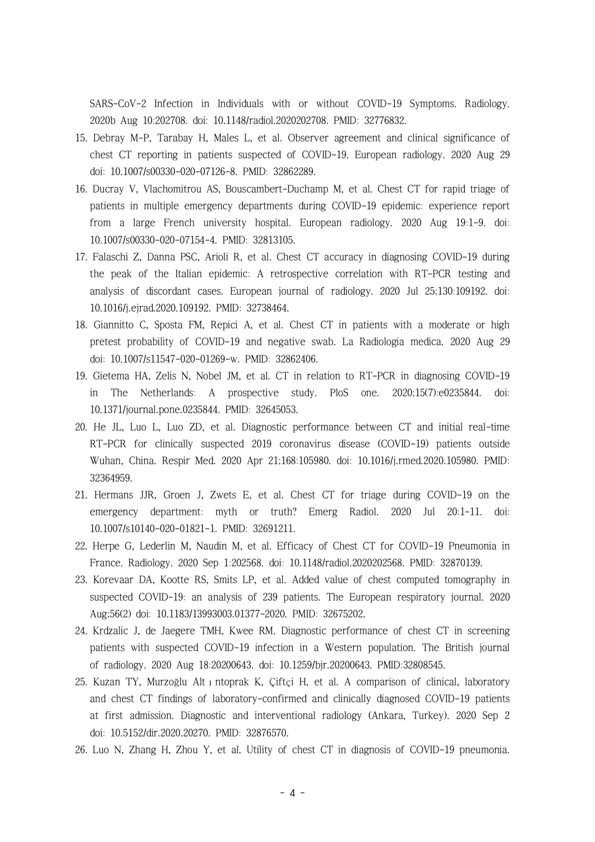SARS-CoV-2 Infection in Individuals with or without COVID-19 Symptoms. Radiology. 2020b Aug 10:202708. doi: 10.1148/radiol.2020202708. PMID: 32776832.

- 15. Debray M-P, Tarabay H, Males L, et al. Observer agreement and clinical significance of chest CT reporting in patients suspected of COVID-19. European radiology. 2020 Aug 29 doi: 10.1007/s00330-020-07126-8. PMID: 32862289.
- 16. Ducray V, Vlachomitrou AS, Bouscambert-Duchamp M, et al. Chest CT for rapid triage of patients in multiple emergency departments during COVID-19 epidemic: experience report from a large French university hospital. European radiology. 2020 Aug 19:1-9. doi: 10.1007/s00330-020-07154-4. PMID: 32813105.
- 17. Falaschi Z, Danna PSC, Arioli R, et al. Chest CT accuracy in diagnosing COVID-19 during the peak of the Italian epidemic: A retrospective correlation with RT-PCR testing and analysis of discordant cases. European journal of radiology. 2020 Jul 25;130:109192. doi: 10.1016/j.ejrad.2020.109192. PMID: 32738464.
- 18. Giannitto C, Sposta FM, Repici A, et al. Chest CT in patients with a moderate or high pretest probability of COVID-19 and negative swab. La Radiologia medica. 2020 Aug 29 doi: 10.1007/s11547-020-01269-w. PMID: 32862406.
- 19. Gietema HA, Zelis N, Nobel JM, et al. CT in relation to RT-PCR in diagnosing COVID-19 in The Netherlands: A prospective study. PloS one. 2020;15(7):e0235844. doi: 10.1371/journal.pone.0235844. PMID: 32645053.
- 20. He JL, Luo L, Luo ZD, et al. Diagnostic performance between CT and initial real-time RT-PCR for clinically suspected 2019 coronavirus disease (COVID-19) patients outside Wuhan, China. Respir Med. 2020 Apr 21;168:105980. doi: 10.1016/j.rmed.2020.105980. PMID: 32364959.
- 21. Hermans JJR, Groen J, Zwets E, et al. Chest CT for triage during COVID-19 on the emergency department: myth or truth? Emerg Radiol. 2020 Jul 20:1-11. doi: 10.1007/s10140-020-01821-1. PMID: 32691211.
- 22. Herpe G, Lederlin M, Naudin M, et al. Efficacy of Chest CT for COVID-19 Pneumonia in France. Radiology. 2020 Sep 1:202568. doi: 10.1148/radiol.2020202568. PMID: 32870139.
- 23. Korevaar DA, Kootte RS, Smits LP, et al. Added value of chest computed tomography in suspected COVID-19: an analysis of 239 patients. The European respiratory journal. 2020 Aug;56(2) doi: 10.1183/13993003.01377-2020. PMID: 32675202.
- 24. Krdzalic J, de Jaegere TMH, Kwee RM. Diagnostic performance of chest CT in screening patients with suspected COVID-19 infection in a Western population. The British journal of radiology. 2020 Aug 18:20200643. doi: 10.1259/bjr.20200643. PMID:32808545.
- 25. Kuzan TY, Murzoğlu Altıntoprak K, Çiftçi H, et al. A comparison of clinical, laboratory and chest CT findings of laboratory-confirmed and clinically diagnosed COVID-19 patients at first admission. Diagnostic and interventional radiology (Ankara, Turkey). 2020 Sep 2 doi: 10.5152/dir.2020.20270. PMID: 32876570.
- 26. Luo N, Zhang H, Zhou Y, et al. Utility of chest CT in diagnosis of COVID-19 pneumonia.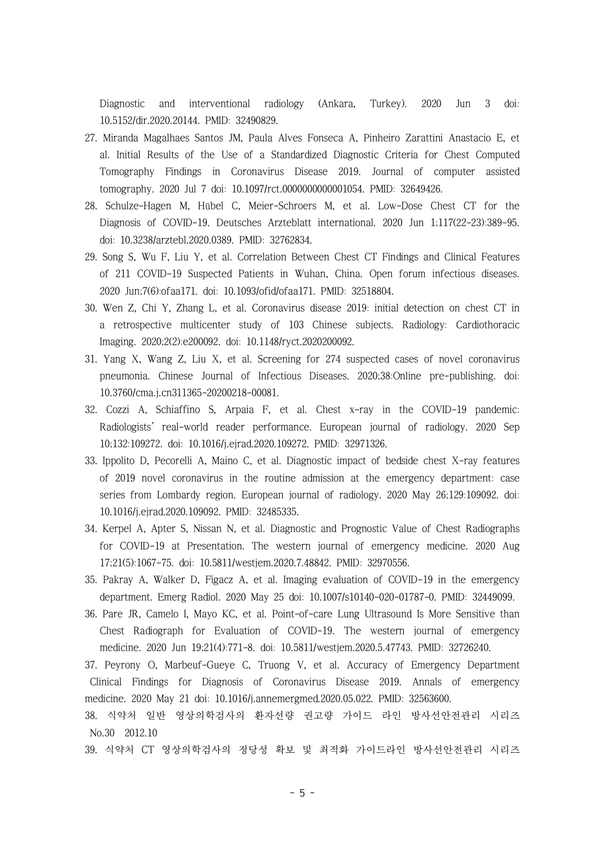Diagnostic and interventional radiology (Ankara, Turkey). 2020 Jun 3 doi: 10.5152/dir.2020.20144. PMID: 32490829.

- 27. Miranda Magalhaes Santos JM, Paula Alves Fonseca A, Pinheiro Zarattini Anastacio E, et al. Initial Results of the Use of a Standardized Diagnostic Criteria for Chest Computed Tomography Findings in Coronavirus Disease 2019. Journal of computer assisted tomography. 2020 Jul 7 doi: 10.1097/rct.0000000000001054. PMID: 32649426.
- 28. Schulze-Hagen M, Hübel C, Meier-Schroers M, et al. Low-Dose Chest CT for the Diagnosis of COVID-19. Deutsches Arzteblatt international. 2020 Jun 1;117(22-23):389-95. doi: 10.3238/arztebl.2020.0389. PMID: 32762834.
- 29. Song S, Wu F, Liu Y, et al. Correlation Between Chest CT Findings and Clinical Features of 211 COVID-19 Suspected Patients in Wuhan, China. Open forum infectious diseases. 2020 Jun;7(6):ofaa171. doi: 10.1093/ofid/ofaa171. PMID: 32518804.
- 30. Wen Z, Chi Y, Zhang L, et al. Coronavirus disease 2019: initial detection on chest CT in a retrospective multicenter study of 103 Chinese subjects. Radiology: Cardiothoracic Imaging. 2020;2(2):e200092. doi: 10.1148/ryct.2020200092.
- 31. Yang X, Wang Z, Liu X, et al. Screening for 274 suspected cases of novel coronavirus pneumonia. Chinese Journal of Infectious Diseases. 2020;38:Online pre-publishing. doi: 10.3760/cma.j.cn311365-20200218-00081.
- 32. Cozzi A, Schiaffino S, Arpaia F, et al. Chest x-ray in the COVID-19 pandemic: Radiologists' real-world reader performance. European journal of radiology. 2020 Sep 10;132:109272. doi: 10.1016/j.ejrad.2020.109272. PMID: 32971326.
- 33. Ippolito D, Pecorelli A, Maino C, et al. Diagnostic impact of bedside chest X-ray features of 2019 novel coronavirus in the routine admission at the emergency department: case series from Lombardy region. European journal of radiology. 2020 May 26;129:109092. doi: 10.1016/j.ejrad.2020.109092. PMID: 32485335.
- 34. Kerpel A, Apter S, Nissan N, et al. Diagnostic and Prognostic Value of Chest Radiographs for COVID-19 at Presentation. The western journal of emergency medicine. 2020 Aug 17;21(5):1067-75. doi: 10.5811/westjem.2020.7.48842. PMID: 32970556.
- 35. Pakray A, Walker D, Figacz A, et al. Imaging evaluation of COVID-19 in the emergency department. Emerg Radiol. 2020 May 25 doi: 10.1007/s10140-020-01787-0. PMID: 32449099.
- 36. Pare JR, Camelo I, Mayo KC, et al. Point-of-care Lung Ultrasound Is More Sensitive than Chest Radiograph for Evaluation of COVID-19. The western journal of emergency medicine. 2020 Jun 19;21(4):771-8. doi: 10.5811/westjem.2020.5.47743. PMID: 32726240.
- 37. Peyrony O, Marbeuf-Gueye C, Truong V, et al. Accuracy of Emergency Department Clinical Findings for Diagnosis of Coronavirus Disease 2019. Annals of emergency medicine. 2020 May 21 doi: 10.1016/j.annemergmed.2020.05.022. PMID: 32563600.
- 38. 식약처 일반 영상의학검사의 환자선량 권고량 가이드 라인 방사선안전관리 시리즈 No.30 2012.10
- 39. 식약처 CT 영상의학검사의 정당성 확보 및 최적화 가이드라인 방사선안전관리 시리즈